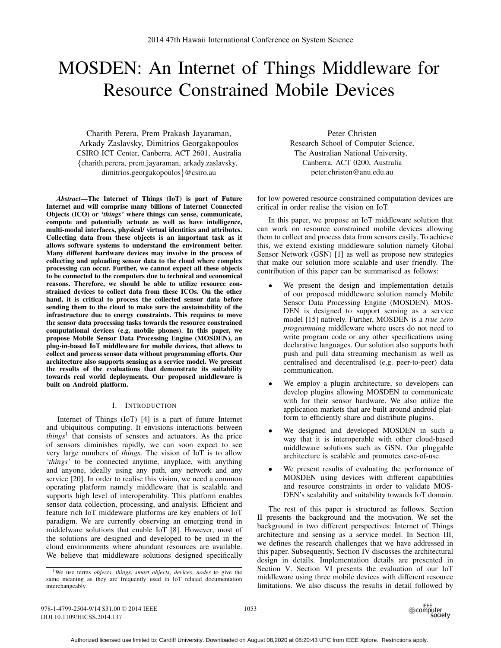# MOSDEN: An Internet of Things Middleware for Resource Constrained Mobile Devices

Charith Perera, Prem Prakash Jayaraman, Arkady Zaslavsky, Dimitrios Georgakopoulos CSIRO ICT Center, Canberra, ACT 2601, Australia {charith.perera, prem.jayaraman, arkady.zaslavsky, dimitrios.georgakopoulos}@csiro.au

*Abstract*—The Internet of Things (IoT) is part of Future Internet and will comprise many billions of Internet Connected Objects (ICO) or *'things'* where things can sense, communicate, compute and potentially actuate as well as have intelligence, multi-modal interfaces, physical/ virtual identities and attributes. Collecting data from these objects is an important task as it allows software systems to understand the environment better. Many different hardware devices may involve in the process of collecting and uploading sensor data to the cloud where complex processing can occur. Further, we cannot expect all these objects to be connected to the computers due to technical and economical reasons. Therefore, we should be able to utilize resource constrained devices to collect data from these ICOs. On the other hand, it is critical to process the collected sensor data before sending them to the cloud to make sure the sustainability of the infrastructure due to energy constraints. This requires to move the sensor data processing tasks towards the resource constrained computational devices (e.g. mobile phones). In this paper, we propose Mobile Sensor Data Processing Engine (MOSDEN), an plug-in-based IoT middleware for mobile devices, that allows to collect and process sensor data without programming efforts. Our architecture also supports sensing as a service model. We present the results of the evaluations that demonstrate its suitability towards real world deployments. Our proposed middleware is built on Android platform.

# I. INTRODUCTION

Internet of Things (IoT) [4] is a part of future Internet and ubiquitous computing. It envisions interactions between *things*<sup>1</sup> that consists of sensors and actuators. As the price of sensors diminishes rapidly, we can soon expect to see very large numbers of *things*. The vision of IoT is to allow *'things'* to be connected anytime, anyplace, with anything and anyone, ideally using any path, any network and any service [20]. In order to realise this vision, we need a common operating platform namely middleware that is scalable and supports high level of interoperability. This platform enables sensor data collection, processing, and analysis. Efficient and feature rich IoT middeware platforms are key enablers of IoT paradigm. We are currently observing an emerging trend in middelware solutions that enable IoT [8]. However, most of the solutions are designed and developed to be used in the cloud environments where abundant resources are available. We believe that middleware solutions designed specifically

Peter Christen Research School of Computer Science, The Australian National University, Canberra, ACT 0200, Australia peter.christen@anu.edu.au

for low powered resource constrained computation devices are critical in order realise the vision on IoT.

In this paper, we propose an IoT middleware solution that can work on resource constrained mobile devices allowing them to collect and process data from sensors easily. To achieve this, we extend existing middleware solution namely Global Sensor Network (GSN) [1] as well as propose new strategies that make our solution more scalable and user friendly. The contribution of this paper can be summarised as follows:

- We present the design and implementation details of our proposed middleware solution namely Mobile Sensor Data Processing Engine (MOSDEN). MOS-DEN is designed to support sensing as a service model [15] natively. Further, MOSDEN is a *true zero programming* middleware where users do not need to write program code or any other specifications using declarative languages. Our solution also supports both push and pull data streaming mechanism as well as centralised and decentralised (e.g. peer-to-peer) data communication.
- We employ a plugin architecture, so developers can develop plugins allowing MOSDEN to communicate with for their sensor hardware. We also utilize the application markets that are built around android platform to efficiently share and distribute plugins.
- We designed and developed MOSDEN in such a way that it is interoperable with other cloud-based middleware solutions such as GSN. Our pluggable architecture is scalable and promotes ease-of-use.
- We present results of evaluating the performance of MOSDEN using devices with different capabilities and resource constraints in order to validate MOS-DEN's scalability and suitability towards IoT domain.

The rest of this paper is structured as follows. Section II presents the background and the motivation. We set the background in two different perspectives: Internet of Things architecture and sensing as a service model. In Section III, we defines the research challenges that we have addressed in this paper. Subsequently, Section IV discusses the architectural design in details. Implementation details are presented in Section V. Section VI presents the evaluation of our IoT middleware using three mobile devices with different resource limitations. We also discuss the results in detail followed by

978-1-4799-2504-9/14 \$31.00 © 2014 IEEE DOI 10.1109/HICSS.2014.137



<sup>1</sup>We use terms *objects*, *things*, *smart objects*, *devices*, *nodes* to give the same meaning as they are frequently used in IoT related documentation interchangeably.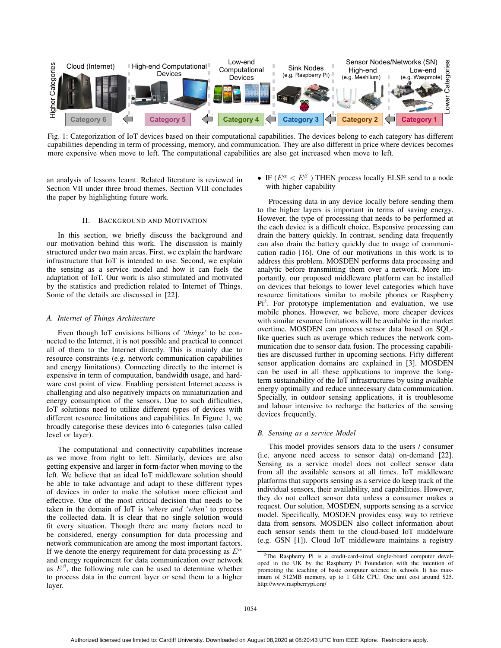

Fig. 1: Categorization of IoT devices based on their computational capabilities. The devices belong to each category has different capabilities depending in term of processing, memory, and communication. They are also different in price where devices becomes more expensive when move to left. The computational capabilities are also get increased when move to left.

an analysis of lessons learnt. Related literature is reviewed in Section VII under three broad themes. Section VIII concludes the paper by highlighting future work.

# II. BACKGROUND AND MOTIVATION

In this section, we briefly discuss the background and our motivation behind this work. The discussion is mainly structured under two main areas. First, we explain the hardware infrastructure that IoT is intended to use. Second, we explain the sensing as a service model and how it can fuels the adaptation of IoT. Our work is also stimulated and motivated by the statistics and prediction related to Internet of Things. Some of the details are discussed in [22].

#### *A. Internet of Things Architecture*

Even though IoT envisions billions of *'things'* to be connected to the Internet, it is not possible and practical to connect all of them to the Internet directly. This is mainly due to resource constraints (e.g. network communication capabilities and energy limitations). Connecting directly to the internet is expensive in term of computation, bandwidth usage, and hardware cost point of view. Enabling persistent Internet access is challenging and also negatively impacts on miniaturization and energy consumption of the sensors. Due to such difficulties, IoT solutions need to utilize different types of devices with different resource limitations and capabilities. In Figure 1, we broadly categorise these devices into 6 categories (also called level or layer).

The computational and connectivity capabilities increase as we move from right to left. Similarly, devices are also getting expensive and larger in form-factor when moving to the left. We believe that an ideal IoT middleware solution should be able to take advantage and adapt to these different types of devices in order to make the solution more efficient and effective. One of the most critical decision that needs to be taken in the domain of IoT is *'where and 'when'* to process the collected data. It is clear that no single solution would fit every situation. Though there are many factors need to be considered, energy consumption for data processing and network communication are among the most important factors. If we denote the energy requirement for data processing as  $E^{\alpha}$ and energy requirement for data communication over network as  $E^{\beta}$ , the following rule can be used to determine whether to process data in the current layer or send them to a higher layer.

• IF ( $E^{\alpha} < E^{\beta}$ ) THEN process locally ELSE send to a node with higher capability

Processing data in any device locally before sending them to the higher layers is important in terms of saving energy. However, the type of processing that needs to be performed at the each device is a difficult choice. Expensive processing can drain the battery quickly. In contrast, sending data frequently can also drain the battery quickly due to usage of communication radio [16]. One of our motivations in this work is to address this problem. MOSDEN performs data processing and analytic before transmitting them over a network. More importantly, our proposed middleware platform can be installed on devices that belongs to lower level categories which have resource limitations similar to mobile phones or Raspberry  $Pi<sup>2</sup>$ . For prototype implementation and evaluation, we use mobile phones. However, we believe, more cheaper devices with similar resource limitations will be available in the market overtime. MOSDEN can process sensor data based on SQLlike queries such as average which reduces the network communication due to sensor data fusion. The processing capabilities are discussed further in upcoming sections. Fifty different sensor application domains are explained in [3]. MOSDEN can be used in all these applications to improve the longterm sustainability of the IoT infrastructures by using available energy optimally and reduce unnecessary data communication. Specially, in outdoor sensing applications, it is troublesome and labour intensive to recharge the batteries of the sensing devices frequently.

#### *B. Sensing as a service Model*

This model provides sensors data to the users / consumer (i.e. anyone need access to sensor data) on-demand [22]. Sensing as a service model does not collect sensor data from all the available sensors at all times. IoT middleware platforms that supports sensing as a service do keep track of the individual sensors, their availability, and capabilities. However, they do not collect sensor data unless a consumer makes a request. Our solution, MOSDEN, supports sensing as a service model. Specifically, MOSDEN provides easy way to retrieve data from sensors. MOSDEN also collect information about each sensor sends them to the cloud-based IoT middelware (e.g. GSN [1]). Cloud IoT middleware maintains a registry

<sup>2</sup>The Raspberry Pi is a credit-card-sized single-board computer developed in the UK by the Raspberry Pi Foundation with the intention of promoting the teaching of basic computer science in schools. It has maximum of 512MB memory, up to 1 GHz CPU. One unit cost around \$25. http://www.raspberrypi.org/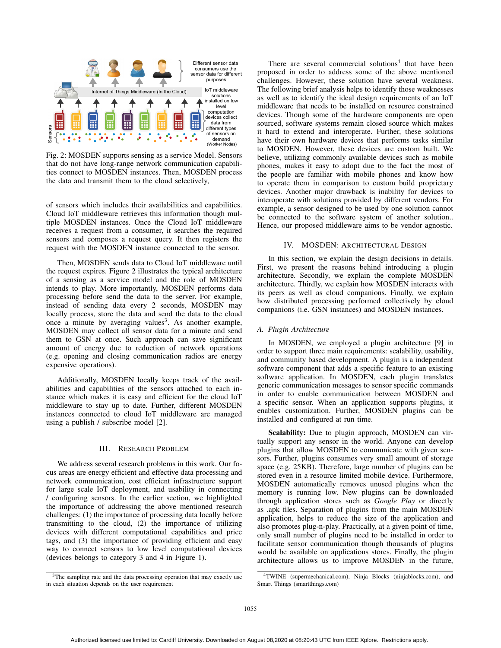

Fig. 2: MOSDEN supports sensing as a service Model. Sensors that do not have long-range network communication capabilities connect to MOSDEN instances. Then, MOSDEN process the data and transmit them to the cloud selectively,

of sensors which includes their availabilities and capabilities. Cloud IoT middleware retrieves this information though multiple MOSDEN instances. Once the Cloud IoT middleware receives a request from a consumer, it searches the required sensors and composes a request query. It then registers the request with the MOSDEN instance connected to the sensor.

Then, MOSDEN sends data to Cloud IoT middleware until the request expires. Figure 2 illustrates the typical architecture of a sensing as a service model and the role of MOSDEN intends to play. More importantly, MOSDEN performs data processing before send the data to the server. For example, instead of sending data every 2 seconds, MOSDEN may locally process, store the data and send the data to the cloud once a minute by averaging values<sup>3</sup>. As another example, MOSDEN may collect all sensor data for a minute and send them to GSN at once. Such approach can save significant amount of energy due to reduction of network operations (e.g. opening and closing communication radios are energy expensive operations).

Additionally, MOSDEN locally keeps track of the availabilities and capabilities of the sensors attached to each instance which makes it is easy and efficient for the cloud IoT middleware to stay up to date. Further, different MOSDEN instances connected to cloud IoT middleware are managed using a publish / subscribe model [2].

## III. RESEARCH PROBLEM

We address several research problems in this work. Our focus areas are energy efficient and effective data processing and network communication, cost efficient infrastructure support for large scale IoT deployment, and usability in connecting / configuring sensors. In the earlier section, we highlighted the importance of addressing the above mentioned research challenges: (1) the importance of processing data locally before transmitting to the cloud, (2) the importance of utilizing devices with different computational capabilities and price tags, and (3) the importance of providing efficient and easy way to connect sensors to low level computational devices (devices belongs to category 3 and 4 in Figure 1).

There are several commercial solutions $4$  that have been proposed in order to address some of the above mentioned challenges. However, these solution have several weakness. The following brief analysis helps to identify those weaknesses as well as to identify the ideal design requirements of an IoT middleware that needs to be installed on resource constrained devices. Though some of the hardware components are open sourced, software systems remain closed source which makes it hard to extend and interoperate. Further, these solutions have their own hardware devices that performs tasks similar to MOSDEN. However, these devices are custom built. We believe, utilizing commonly available devices such as mobile phones, makes it easy to adopt due to the fact the most of the people are familiar with mobile phones and know how to operate them in comparison to custom build proprietary devices. Another major drawback is inability for devices to interoperate with solutions provided by different vendors. For example, a sensor designed to be used by one solution cannot be connected to the software system of another solution.. Hence, our proposed middleware aims to be vendor agnostic.

#### IV. MOSDEN: ARCHITECTURAL DESIGN

In this section, we explain the design decisions in details. First, we present the reasons behind introducing a plugin architecture. Secondly, we explain the complete MOSDEN architecture. Thirdly, we explain how MOSDEN interacts with its peers as well as cloud companions. Finally, we explain how distributed processing performed collectively by cloud companions (i.e. GSN instances) and MOSDEN instances.

# *A. Plugin Architecture*

In MOSDEN, we employed a plugin architecture [9] in order to support three main requirements: scalability, usability, and community based development. A plugin is a independent software component that adds a specific feature to an existing software application. In MOSDEN, each plugin translates generic communication messages to sensor specific commands in order to enable communication between MOSDEN and a specific sensor. When an application supports plugins, it enables customization. Further, MOSDEN plugins can be installed and configured at run time.

Scalability: Due to plugin approach, MOSDEN can virtually support any sensor in the world. Anyone can develop plugins that allow MOSDEN to communicate with given sensors. Further, plugins consumes very small amount of storage space (e.g. 25KB). Therefore, large number of plugins can be stored even in a resource limited mobile device. Furthermore, MOSDEN automatically removes unused plugins when the memory is running low. New plugins can be downloaded through application stores such as *Google Play* or directly as .apk files. Separation of plugins from the main MOSDEN application, helps to reduce the size of the application and also promotes plug-n-play. Practically, at a given point of time, only small number of plugins need to be installed in order to facilitate sensor communication though thousands of plugins would be available on applications stores. Finally, the plugin architecture allows us to improve MOSDEN in the future,

<sup>&</sup>lt;sup>3</sup>The sampling rate and the data processing operation that may exactly use in each situation depends on the user requirement

<sup>4</sup>TWINE (supermechanical.com), Ninja Blocks (ninjablocks.com), and Smart Things (smartthings.com)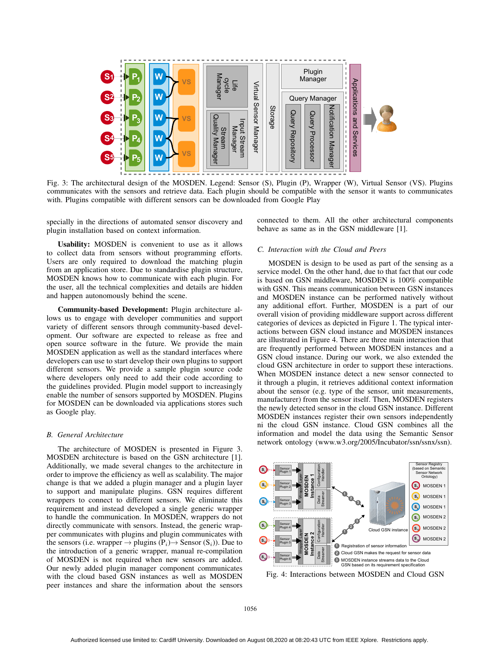

Fig. 3: The architectural design of the MOSDEN. Legend: Sensor (S), Plugin (P), Wrapper (W), Virtual Sensor (VS). Plugins communicates with the sensors and retrieve data. Each plugin should be compatible with the sensor it wants to communicates with. Plugins compatible with different sensors can be downloaded from Google Play

specially in the directions of automated sensor discovery and plugin installation based on context information.

Usability: MOSDEN is convenient to use as it allows to collect data from sensors without programming efforts. Users are only required to download the matching plugin from an application store. Due to standardise plugin structure, MOSDEN knows how to communicate with each plugin. For the user, all the technical complexities and details are hidden and happen autonomously behind the scene.

Community-based Development: Plugin architecture allows us to engage with developer communities and support variety of different sensors through community-based development. Our software are expected to release as free and open source software in the future. We provide the main MOSDEN application as well as the standard interfaces where developers can use to start develop their own plugins to support different sensors. We provide a sample plugin source code where developers only need to add their code according to the guidelines provided. Plugin model support to increasingly enable the number of sensors supported by MOSDEN. Plugins for MOSDEN can be downloaded via applications stores such as Google play.

### *B. General Architecture*

The architecture of MOSDEN is presented in Figure 3. MOSDEN architecture is based on the GSN architecture [1]. Additionally, we made several changes to the architecture in order to improve the efficiency as well as scalability. The major change is that we added a plugin manager and a plugin layer to support and manipulate plugins. GSN requires different wrappers to connect to different sensors. We eliminate this requirement and instead developed a single generic wrapper to handle the communication. In MOSDEN, wrappers do not directly communicate with sensors. Instead, the generic wrapper communicates with plugins and plugin communicates with the sensors (i.e. wrapper  $\rightarrow$  plugins (P<sub>i</sub>) $\rightarrow$  Sensor (S<sub>i</sub>)). Due to the introduction of a generic wrapper, manual re-compilation of MOSDEN is not required when new sensors are added. Our newly added plugin manager component communicates with the cloud based GSN instances as well as MOSDEN peer instances and share the information about the sensors connected to them. All the other architectural components behave as same as in the GSN middleware [1].

#### *C. Interaction with the Cloud and Peers*

MOSDEN is design to be used as part of the sensing as a service model. On the other hand, due to that fact that our code is based on GSN middleware, MOSDEN is 100% compatible with GSN. This means communication between GSN instances and MOSDEN instance can be performed natively without any additional effort. Further, MOSDEN is a part of our overall vision of providing middleware support across different categories of devices as depicted in Figure 1. The typical interactions between GSN cloud instance and MOSDEN instances are illustrated in Figure 4. There are three main interaction that are frequently performed between MOSDEN instances and a GSN cloud instance. During our work, we also extended the cloud GSN architecture in order to support these interactions. When MOSDEN instance detect a new sensor connected to it through a plugin, it retrieves additional context information about the sensor (e.g. type of the sensor, unit measurements, manufacturer) from the sensor itself. Then, MOSDEN registers the newly detected sensor in the cloud GSN instance. Different MOSDEN instances register their own sensors independently ni the cloud GSN instance. Cloud GSN combines all the information and model the data using the Semantic Sensor network ontology (www.w3.org/2005/Incubator/ssn/ssnx/ssn).



Fig. 4: Interactions between MOSDEN and Cloud GSN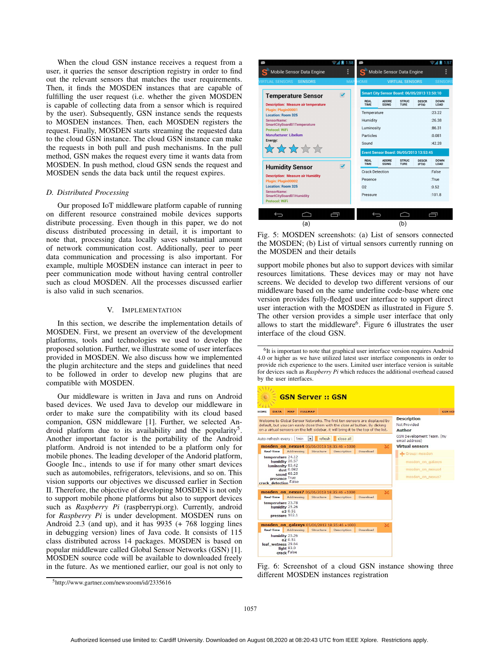When the cloud GSN instance receives a request from a user, it queries the sensor description registry in order to find out the relevant sensors that matches the user requirements. Then, it finds the MOSDEN instances that are capable of fulfilling the user request (i.e. whether the given MOSDEN is capable of collecting data from a sensor which is required by the user). Subsequently, GSN instance sends the requests to MOSDEN instances. Then, each MOSDEN registers the request. Finally, MOSDEN starts streaming the requested data to the cloud GSN instance. The cloud GSN instance can make the requests in both pull and push mechanisms. In the pull method, GSN makes the request every time it wants data from MOSDEN. In push method, cloud GSN sends the request and MOSDEN sends the data back until the request expires.

#### *D. Distributed Processing*

Our proposed IoT middleware platform capable of running on different resource constrained mobile devices supports distribute processing. Even though in this paper, we do not discuss distributed processing in detail, it is important to note that, processing data locally saves substantial amount of network communication cost. Additionally, peer to peer data communication and processing is also important. For example, multiple MOSDEN instance can interact in peer to peer communication mode without having central controller such as cloud MOSDEN. All the processes discussed earlier is also valid in such scenarios.

# V. IMPLEMENTATION

In this section, we describe the implementation details of MOSDEN. First, we present an overview of the development platforms, tools and technologies we used to develop the proposed solution. Further, we illustrate some of user interfaces provided in MOSDEN. We also discuss how we implemented the plugin architecture and the steps and guidelines that need to be followed in order to develop new plugins that are compatible with MOSDEN.

Our middleware is written in Java and runs on Android based devices. We used Java to develop our middleware in order to make sure the compatibility with its cloud based companion, GSN middleware [1]. Further, we selected Android platform due to its availability and the popularity<sup>5</sup>. Another important factor is the portability of the Android platform. Android is not intended to be a platform only for mobile phones. The leading developer of the Andorid platform, Google Inc., intends to use if for many other smart devices such as automobiles, refrigerators, televisions, and so on. This vision supports our objectives we discussed earlier in Section II. Therefore, the objective of developing MOSDEN is not only to support mobile phone platforms but also to support devices such as *Raspberry Pi* (raspberrypi.org). Currently, android for *Raspberry Pi* is under development. MOSDEN runs on Android 2.3 (and up), and it has 9935 (+ 768 logging lines in debugging version) lines of Java code. It consists of 115 class distributed across 14 packages. MOSDEN is based on popular middleware called Global Sensor Networks (GSN) [1]. MOSDEN source code will be available to downloaded freely in the future. As we mentioned earlier, our goal is not only to



Fig. 5: MOSDEN screenshots: (a) List of sensors connected the MOSDEN; (b) List of virtual sensors currently running on the MOSDEN and their details

support mobile phones but also to support devices with similar resources limitations. These devices may or may not have screens. We decided to develop two different versions of our middleware based on the same underline code-base where one version provides fully-fledged user interface to support direct user interaction with the MOSDEN as illustrated in Figure 5. The other version provides a simple user interface that only allows to start the middleware<sup>6</sup>. Figure 6 illustrates the user interface of the cloud GSN.

 ${}^{6}$ It is important to note that graphical user interface version requires Android 4.0 or higher as we have utilized latest user interface components in order to provide rich experience to the users. Limited user interface version is suitable for devices such as *Raspberry Pi* which reduces the additional overhead caused by the user interfaces.

| HOME<br><b>DATA</b>                                                                                 | <b>MAP</b>                                                | <b>FIII I MAP</b> |                                                                                                                                                                                                                                                  |          |   |                                                                                                      | <b>GSN HOL</b> |
|-----------------------------------------------------------------------------------------------------|-----------------------------------------------------------|-------------------|--------------------------------------------------------------------------------------------------------------------------------------------------------------------------------------------------------------------------------------------------|----------|---|------------------------------------------------------------------------------------------------------|----------------|
|                                                                                                     |                                                           |                   | Welcome to Global Sensor Networks. The first ten sensors are displayed by<br>default, but you can easily close them with the close all button. By clicking<br>on a virtual sensors on the left sidebar, it will bring it to the top of the list. |          |   | <b>Description</b><br>Not Provided<br><b>Author</b>                                                  |                |
| refresh<br>close all<br>Auto-refresh every :<br>1 <sub>min</sub><br>$\cdot$                         |                                                           |                   |                                                                                                                                                                                                                                                  |          |   | GSN Development Team. (my<br>email address)                                                          |                |
| <b>Real-Time</b><br>temperature 24.12<br>luminosity 85.42<br>presence True<br>crack detection False | Addressing<br>humidity 26.57<br>dust 0.082<br>sound 68.25 | Structure         | mosden_on_nexus4 05/06/2013 18:35:46 +1000<br><b>Description</b>                                                                                                                                                                                 | Download | 冥 | <b>Virtual sensors</b><br>Group: mosden<br>mosden on galaxys<br>mosden on nexus4<br>mosden on nexus7 |                |
|                                                                                                     |                                                           |                   | mosden on nexus7 05/06/2013 18:35:46 +1000                                                                                                                                                                                                       |          | 冥 |                                                                                                      |                |
| <b>Real-Time</b><br>temperature 23.78                                                               | Addressing<br>humidity 25.26<br>0.51<br>pressure 102.1    | Structure         | <b>Description</b>                                                                                                                                                                                                                               | Download |   |                                                                                                      |                |
|                                                                                                     |                                                           |                   | mosden_on_qalaxys 05/06/2013 18:35:46 +1000                                                                                                                                                                                                      |          | × |                                                                                                      |                |
| <b>Real-Time</b>                                                                                    | Addressing<br>humidity 25.26<br>0.51                      | Structure         | <b>Description</b>                                                                                                                                                                                                                               | Download |   |                                                                                                      |                |

Fig. 6: Screenshot of a cloud GSN instance showing three different MOSDEN instances registration

<sup>5</sup>http://www.gartner.com/newsroom/id/2335616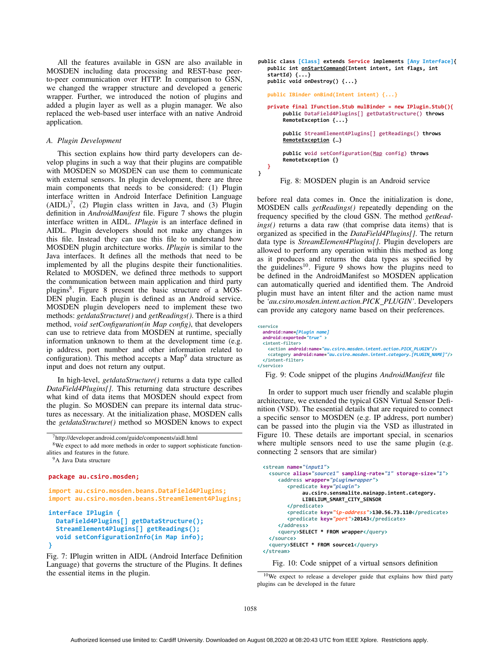All the features available in GSN are also available in MOSDEN including data processing and REST-base peerto-peer communication over HTTP. In comparison to GSN, we changed the wrapper structure and developed a generic wrapper. Further, we introduced the notion of plugins and added a plugin layer as well as a plugin manager. We also replaced the web-based user interface with an native Android application.

#### *A. Plugin Development*

This section explains how third party developers can develop plugins in such a way that their plugins are compatible with MOSDEN so MOSDEN can use them to communicate with external sensors. In plugin development, there are three main components that needs to be considered: (1) Plugin interface written in Android Interface Definition Language  $(AIDL)^7$ , (2) Plugin class written in Java, and (3) Plugin definition in *AndroidManifest* file. Figure 7 shows the plugin interface written in AIDL. *IPlugin* is an interface defined in AIDL. Plugin developers should not make any changes in this file. Instead they can use this file to understand how MOSDEN plugin architecture works. *IPlugin* is similar to the Java interfaces. It defines all the methods that need to be implemented by all the plugins despite their functionalities. Related to MOSDEN, we defined three methods to support the communication between main application and third party plugins8. Figure 8 present the basic structure of a MOS-DEN plugin. Each plugin is defined as an Android service. MOSDEN plugin developers need to implement these two methods: *getdataStructure()* and *getReadings()*. There is a third method, *void setConfiguration(in Map config)*, that developers can use to retrieve data from MOSDEN at runtime, specially information unknown to them at the development time (e.g. ip address, port number and other information related to configuration). This method accepts a  $Map<sup>9</sup>$  data structure as input and does not return any output.

In high-level, *getdataStructure()* returns a data type called *DataField4Plugins[]*. This returning data structure describes what kind of data items that MOSDEN should expect from the plugin. So MOSDEN can prepare its internal data structures as necessary. At the initialization phase, MOSDEN calls the *getdataStructure()* method so MOSDEN knows to expect

```
7http://developer.android.com/guide/components/aidl.html
```
<sup>8</sup>We expect to add more methods in order to support sophisticate functionalities and features in the future.

```
<sup>9</sup>A Java Data structure
```
# $\mathbf{p}_i$  ackage au.csiro.mosden:

 $\frac{1}{2}$  mport au.csiro.mosden.beans.DataField4Plugins: import au.csiro.mosden.beans.StreamElement4Plugins:

```
interface IPlugin {
 DataField4Plugins[] getDataStructure();
 StreamElement4Plugins[] getReadings();
\frac{1}{2} void setConfigurationInfo(in Map info):
'
```
Fig. 7: IPlugin written in AIDL (Android Interface Definition Language) that governs the structure of the Plugins. It defines the essential items in the plugin.



Fig. 8: MOSDEN plugin is an Android service

before real data comes in. Once the initialization is done, MOSDEN calls *getReadings()* repeatedly depending on the frequency specified by the cloud GSN. The method *getReadings()* returns a data raw (that comprise data items) that is organized as specified in the *DataField4Plugins[]*. The return data type is *StreamElement4Plugins[]*. Plugin developers are allowed to perform any operation within this method as long as it produces and returns the data types as specified by the guidelines<sup>10</sup>. Figure 9 shows how the plugins need to be defined in the AndroidManifest so MOSDEN application can automatically queried and identified them. The Android plugin must have an intent filter and the action name must be *'au.csiro.mosden.intent.action.PICK PLUGIN'*. Developers can provide any category name based on their preferences.

```
%-

android:name=[Plugin_name]
android:exported="true">

<action android:name="au.csiro.mosden.intent.action.PICK PLUGIN"/>
<category android:name="au.csiro.mosden.intent.category.[PLUGIN_NAME]"/>

-
```
Fig. 9: Code snippet of the plugins *AndroidManifest* file

In order to support much user friendly and scalable plugin architecture, we extended the typical GSN Virtual Sensor Definition (VSD). The essential details that are required to connect a specific sensor to MOSDEN (e.g. IP address, port number) can be passed into the plugin via the VSD as illustrated in Figure 10. These details are important special, in scenarios where multiple sensors need to use the same plugin (e.g. connecting 2 sensors that are similar)

```
-
-
 	-
-

source alias="source1" sampling-rate="1" storage-size="1">
<address wrapper="pluginwrapper">
-
	-
-

au.csiro.sensmalite.mainapp.intent.category.
         LIBELIUM_SMART_CITY_SENSOR
*-

<predicate key="ip-address">130.56.73.110</predicate>
-
	-

-

1-+2,*-

   *
<guery>SELECT * FROM wrapper</guery>
*

<guery>SELECT * FROM source1</guery>
*-
```
Fig. 10: Code snippet of a virtual sensors definition

 $\lambda$ 

<sup>10</sup>We expect to release a developer guide that explains how third party plugins can be developed in the future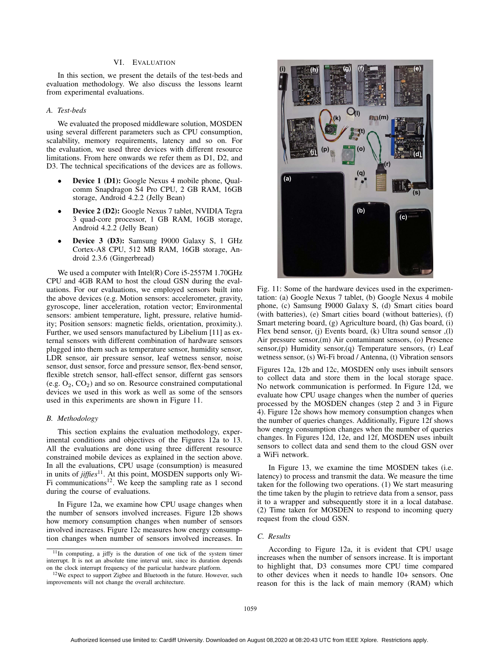# VI. EVALUATION

In this section, we present the details of the test-beds and evaluation methodology. We also discuss the lessons learnt from experimental evaluations.

# *A. Test-beds*

We evaluated the proposed middleware solution, MOSDEN using several different parameters such as CPU consumption, scalability, memory requirements, latency and so on. For the evaluation, we used three devices with different resource limitations. From here onwards we refer them as D1, D2, and D3. The technical specifications of the devices are as follows.

- Device 1 (D1): Google Nexus 4 mobile phone, Qualcomm Snapdragon S4 Pro CPU, 2 GB RAM, 16GB storage, Android 4.2.2 (Jelly Bean)
- Device 2 (D2): Google Nexus 7 tablet, NVIDIA Tegra 3 quad-core processor, 1 GB RAM, 16GB storage, Android 4.2.2 (Jelly Bean)
- Device 3 (D3): Samsung I9000 Galaxy S, 1 GHz Cortex-A8 CPU, 512 MB RAM, 16GB storage, Android 2.3.6 (Gingerbread)

We used a computer with Intel(R) Core i5-2557M 1.70GHz CPU and 4GB RAM to host the cloud GSN during the evaluations. For our evaluations, we employed sensors built into the above devices (e.g. Motion sensors: accelerometer, gravity, gyroscope, liner acceleration, rotation vector; Environmental sensors: ambient temperature, light, pressure, relative humidity; Position sensors: magnetic fields, orientation, proximity.). Further, we used sensors manufactured by Libelium [11] as external sensors with different combination of hardware sensors plugged into them such as temperature sensor, humidity sensor, LDR sensor, air pressure sensor, leaf wetness sensor, noise sensor, dust sensor, force and pressure sensor, flex-bend sensor, flexible stretch sensor, hall-effect sensor, differnt gas sensors (e.g.  $O_2$ ,  $CO_2$ ) and so on. Resource constrained computational devices we used in this work as well as some of the sensors used in this experiments are shown in Figure 11.

#### *B. Methodology*

This section explains the evaluation methodology, experimental conditions and objectives of the Figures 12a to 13. All the evaluations are done using three different resource constrained mobile devices as explained in the section above. In all the evaluations, CPU usage (consumption) is measured in units of *jiffies*<sup>11</sup>. At this point, MOSDEN supports only Wi-Fi communications<sup>12</sup>. We keep the sampling rate as 1 second during the course of evaluations.

In Figure 12a, we examine how CPU usage changes when the number of sensors involved increases. Figure 12b shows how memory consumption changes when number of sensors involved increases. Figure 12c measures how energy consumption changes when number of sensors involved increases. In



Fig. 11: Some of the hardware devices used in the experimentation: (a) Google Nexus 7 tablet, (b) Google Nexus 4 mobile phone, (c) Samsung I9000 Galaxy S, (d) Smart cities board (with batteries), (e) Smart cities board (without batteries), (f) Smart metering board, (g) Agriculture board, (h) Gas board, (i) Flex bend sensor, (j) Events board, (k) Ultra sound sensor ,(l) Air pressure sensor,(m) Air contaminant sensors, (o) Presence sensor,(p) Humidity sensor,(q) Temperature sensors, (r) Leaf wetness sensor, (s) Wi-Fi broad / Antenna, (t) Vibration sensors

Figures 12a, 12b and 12c, MOSDEN only uses inbuilt sensors to collect data and store them in the local storage space. No network communication is performed. In Figure 12d, we evaluate how CPU usage changes when the number of queries processed by the MOSDEN changes (step 2 and 3 in Figure 4). Figure 12e shows how memory consumption changes when the number of queries changes. Additionally, Figure 12f shows how energy consumption changes when the number of queries changes. In Figures 12d, 12e, and 12f, MOSDEN uses inbuilt sensors to collect data and send them to the cloud GSN over a WiFi network.

In Figure 13, we examine the time MOSDEN takes (i.e. latency) to process and transmit the data. We measure the time taken for the following two operations. (1) We start measuring the time taken by the plugin to retrieve data from a sensor, pass it to a wrapper and subsequently store it in a local database. (2) Time taken for MOSDEN to respond to incoming query request from the cloud GSN.

### *C. Results*

According to Figure 12a, it is evident that CPU usage increases when the number of sensors increase. It is important to highlight that, D3 consumes more CPU time compared to other devices when it needs to handle 10+ sensors. One reason for this is the lack of main memory (RAM) which

<sup>11</sup>In computing, a jiffy is the duration of one tick of the system timer interrupt. It is not an absolute time interval unit, since its duration depends on the clock interrupt frequency of the particular hardware platform.

<sup>12</sup>We expect to support Zigbee and Bluetooth in the future. However, such improvements will not change the overall architecture.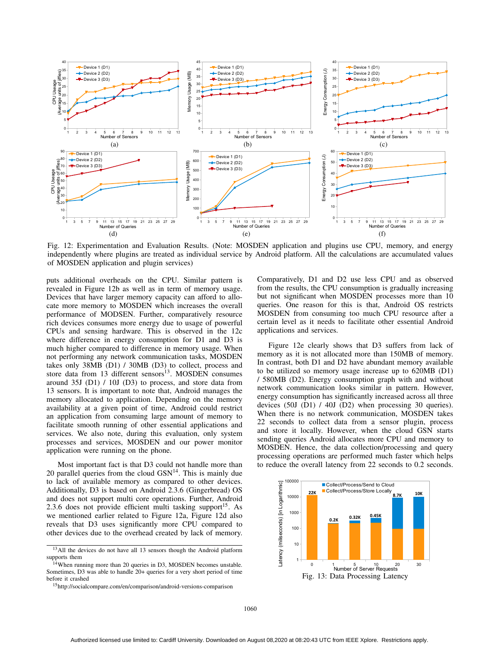

Fig. 12: Experimentation and Evaluation Results. (Note: MOSDEN application and plugins use CPU, memory, and energy independently where plugins are treated as individual service by Android platform. All the calculations are accumulated values of MOSDEN application and plugin services)

puts additional overheads on the CPU. Similar pattern is revealed in Figure 12b as well as in term of memory usage. Devices that have larger memory capacity can afford to allocate more memory to MOSDEN which increases the overall performance of MODSEN. Further, comparatively resource rich devices consumes more energy due to usage of powerful CPUs and sensing hardware. This is observed in the 12c where difference in energy consumption for D1 and D3 is much higher compared to difference in memory usage. When not performing any network communication tasks, MOSDEN takes only 38MB (D1) / 30MB (D3) to collect, process and store data from 13 different sensors<sup>13</sup>. MOSDEN consumes around 35J (D1) / 10J (D3) to process, and store data from 13 sensors. It is important to note that, Android manages the memory allocated to application. Depending on the memory availability at a given point of time, Android could restrict an application from consuming large amount of memory to facilitate smooth running of other essential applications and services. We also note, during this evaluation, only system processes and services, MOSDEN and our power monitor application were running on the phone.

Most important fact is that D3 could not handle more than 20 parallel queries from the cloud  $GSN<sup>14</sup>$ . This is mainly due to lack of available memory as compared to other devices. Additionally, D3 is based on Android 2.3.6 (Gingerbread) OS and does not support multi core operations. Further, Android 2.3.6 does not provide efficient multi tasking support<sup>15</sup>. As we mentioned earlier related to Figure 12a, Figure 12d also reveals that D3 uses significantly more CPU compared to other devices due to the overhead created by lack of memory. Comparatively, D1 and D2 use less CPU and as observed from the results, the CPU consumption is gradually increasing but not significant when MOSDEN processes more than 10 queries. One reason for this is that, Android OS restricts MOSDEN from consuming too much CPU resource after a certain level as it needs to facilitate other essential Android applications and services.

Figure 12e clearly shows that D3 suffers from lack of memory as it is not allocated more than 150MB of memory. In contrast, both D1 and D2 have abundant memory available to be utilized so memory usage increase up to 620MB (D1) / 580MB (D2). Energy consumption graph with and without network communication looks similar in pattern. However, energy consumption has significantly increased across all three devices (50J (D1) / 40J (D2) when processing 30 queries). When there is no network communication, MOSDEN takes 22 seconds to collect data from a sensor plugin, process and store it locally. However, when the cloud GSN starts sending queries Android allocates more CPU and memory to MOSDEN. Hence, the data collection/processing and query processing operations are performed much faster which helps to reduce the overall latency from 22 seconds to 0.2 seconds.



<sup>&</sup>lt;sup>13</sup>All the devices do not have all 13 sensors though the Android platform supports them

<sup>&</sup>lt;sup>14</sup>When running more than 20 queries in D3, MOSDEN becomes unstable. Sometimes, D3 was able to handle 20+ queries for a very short period of time before it crashed

<sup>15</sup>http://socialcompare.com/en/comparison/android-versions-comparison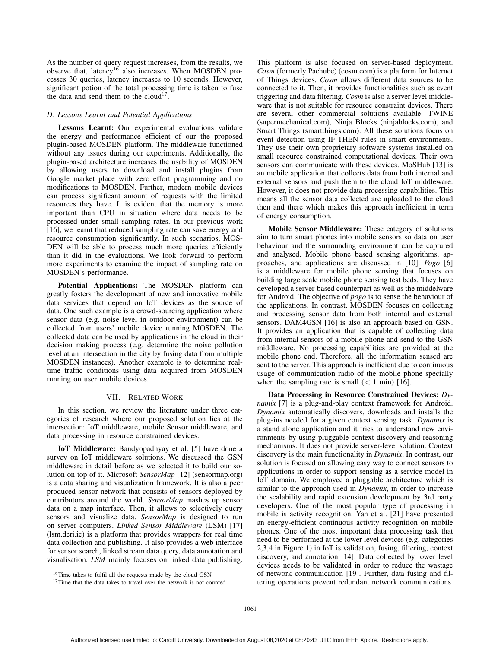As the number of query request increases, from the results, we observe that, latency<sup>16</sup> also increases. When MOSDEN processes 30 queries, latency increases to 10 seconds. However, significant potion of the total processing time is taken to fuse the data and send them to the cloud<sup>17</sup>.

# *D. Lessons Learnt and Potential Applications*

Lessons Learnt: Our experimental evaluations validate the energy and performance efficient of our the proposed plugin-based MOSDEN platform. The middleware functioned without any issues during our experiments. Additionally, the plugin-based architecture increases the usability of MOSDEN by allowing users to download and install plugins from Google market place with zero effort programming and no modifications to MOSDEN. Further, modern mobile devices can process significant amount of requests with the limited resources they have. It is evident that the memory is more important than CPU in situation where data needs to be processed under small sampling rates. In our previous work [16], we learnt that reduced sampling rate can save energy and resource consumption significantly. In such scenarios, MOS-DEN will be able to process much more queries efficiently than it did in the evaluations. We look forward to perform more experiments to examine the impact of sampling rate on MOSDEN's performance.

Potential Applications: The MOSDEN platform can greatly fosters the development of new and innovative mobile data services that depend on IoT devices as the source of data. One such example is a crowd-sourcing application where sensor data (e.g. noise level in outdoor environment) can be collected from users' mobile device running MOSDEN. The collected data can be used by applications in the cloud in their decision making process (e.g. determine the noise pollution level at an intersection in the city by fusing data from multiple MOSDEN instances). Another example is to determine realtime traffic conditions using data acquired from MOSDEN running on user mobile devices.

## VII. RELATED WORK

In this section, we review the literature under three categories of research where our proposed solution lies at the intersection: IoT middleware, mobile Sensor middleware, and data processing in resource constrained devices.

IoT Middleware: Bandyopadhyay et al. [5] have done a survey on IoT middleware solutions. We discussed the GSN middleware in detail before as we selected it to build our solution on top of it. Microsoft *SensorMap* [12] (sensormap.org) is a data sharing and visualization framework. It is also a peer produced sensor network that consists of sensors deployed by contributors around the world. *SensorMap* mashes up sensor data on a map interface. Then, it allows to selectively query sensors and visualize data. *SensorMap* is designed to run on server computers. *Linked Sensor Middleware* (LSM) [17] (lsm.deri.ie) is a platform that provides wrappers for real time data collection and publishing. It also provides a web interface for sensor search, linked stream data query, data annotation and visualisation. *LSM* mainly focuses on linked data publishing.

This platform is also focused on server-based deployment. *Cosm* (formerly Pachube) (cosm.com) is a platform for Internet of Things devices. *Cosm* allows different data sources to be connected to it. Then, it provides functionalities such as event triggering and data filtering. *Cosm* is also a server level middleware that is not suitable for resource constraint devices. There are several other commercial solutions available: TWINE (supermechanical.com), Ninja Blocks (ninjablocks.com), and Smart Things (smartthings.com). All these solutions focus on event detection using IF-THEN rules in smart environments. They use their own proprietary software systems installed on small resource constrained computational devices. Their own sensors can communicate with these devices. MoSHub [13] is an mobile application that collects data from both internal and external sensors and push them to the cloud IoT middleware. However, it does not provide data processing capabilities. This means all the sensor data collected are uploaded to the cloud then and there which makes this approach inefficient in term of energy consumption.

Mobile Sensor Middleware: These category of solutions aim to turn smart phones into mobile sensors so data on user behaviour and the surrounding environment can be captured and analysed. Mobile phone based sensing algorithms, approaches, and applications are discussed in [10]. *Pogo* [6] is a middleware for mobile phone sensing that focuses on building large scale mobile phone sensing test beds. They have developed a server-based counterpart as well as the middelware for Android. The objective of *pogo* is to sense the behaviour of the applications. In contrast, MOSDEN focuses on collecting and processing sensor data from both internal and external sensors. DAM4GSN [16] is also an approach based on GSN. It provides an application that is capable of collecting data from internal sensors of a mobile phone and send to the GSN middleware. No processing capabilities are provided at the mobile phone end. Therefore, all the information sensed are sent to the server. This approach is inefficient due to continuous usage of communication radio of the mobile phone specially when the sampling rate is small  $(< 1$  min) [16].

Data Processing in Resource Constrained Devices: *Dynamix* [7] is a plug-and-play context framework for Android. *Dynamix* automatically discovers, downloads and installs the plug-ins needed for a given context sensing task. *Dynamix* is a stand alone application and it tries to understand new environments by using pluggable context discovery and reasoning mechanisms. It does not provide server-level solution. Context discovery is the main functionality in *Dynamix*. In contrast, our solution is focused on allowing easy way to connect sensors to applications in order to support sensing as a service model in IoT domain. We employee a pluggable architecture which is similar to the approach used in *Dynamix*, in order to increase the scalability and rapid extension development by 3rd party developers. One of the most popular type of processing in mobile is activity recognition. Yan et al. [21] have presented an energy-efficient continuous activity recognition on mobile phones. One of the most important data processing task that need to be performed at the lower level devices (e.g. categories 2,3,4 in Figure 1) in IoT is validation, fusing, filtering, context discovery, and annotation [14]. Data collected by lower level devices needs to be validated in order to reduce the wastage of network communication [19]. Further, data fusing and filtering operations prevent redundant network communications.

<sup>&</sup>lt;sup>16</sup>Time takes to fulfil all the requests made by the cloud GSN

<sup>&</sup>lt;sup>17</sup>Time that the data takes to travel over the network is not counted